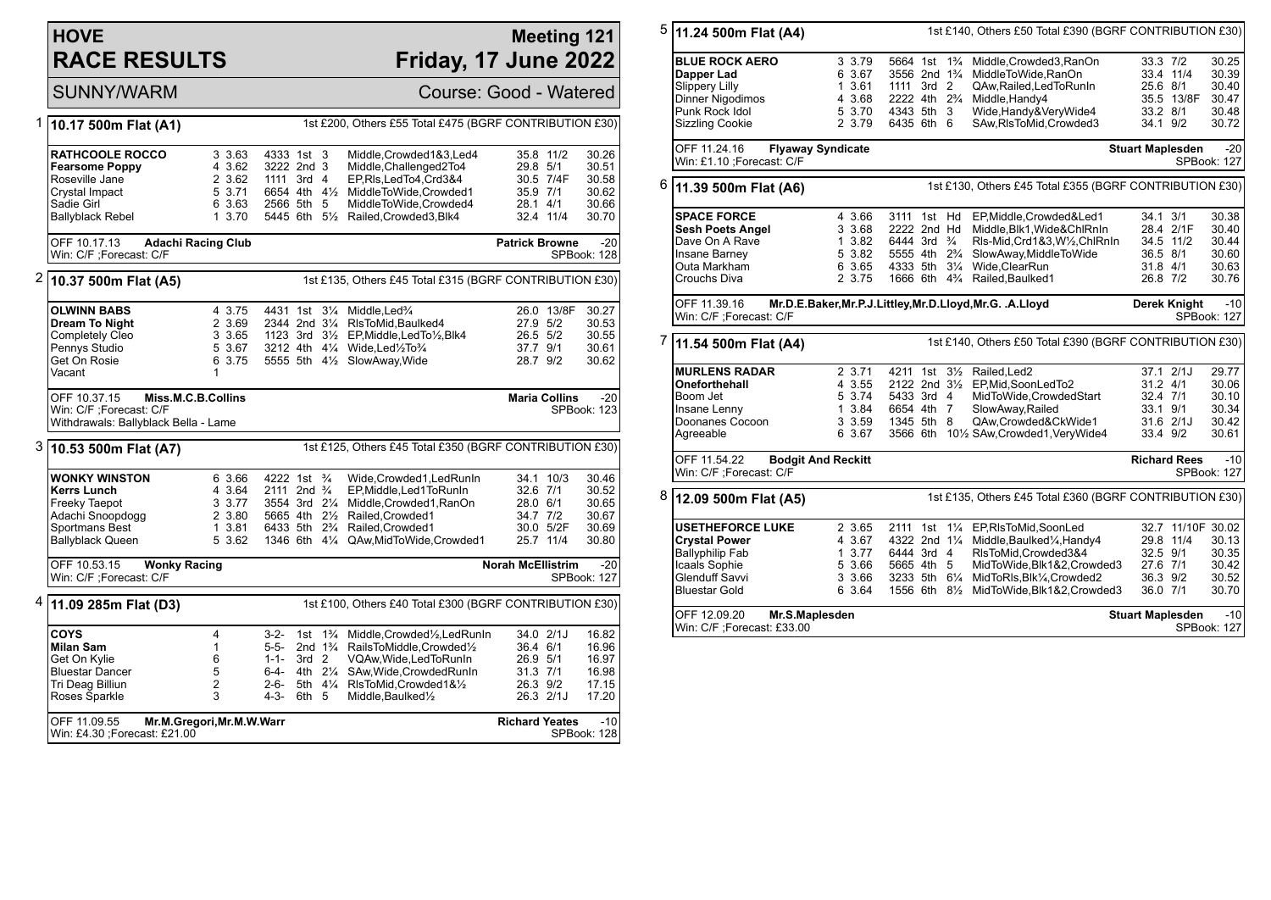## **HOVE RACE RESULTS**

## **Meeting 121 Friday, 17 June 2022**

SUNNY/WARM Course: Good - Watered

| 1 | 10.17 500m Flat (A1)                                            | 1st £200, Others £55 Total £475 (BGRF CONTRIBUTION £30) |                                        |                  |                      |                                                          |                          |                      |                      |
|---|-----------------------------------------------------------------|---------------------------------------------------------|----------------------------------------|------------------|----------------------|----------------------------------------------------------|--------------------------|----------------------|----------------------|
|   |                                                                 |                                                         |                                        |                  |                      |                                                          |                          |                      |                      |
|   | <b>RATHCOOLE ROCCO</b>                                          | 3 3.63                                                  | 4333 1st                               |                  | 3                    | Middle, Crowded 1&3, Led4                                |                          | 35.8 11/2            | 30.26                |
|   | <b>Fearsome Poppy</b>                                           | 4 3.62                                                  | 3222 2nd 3                             |                  |                      | Middle, Challenged2To4                                   | 29.8 5/1                 |                      | 30.51                |
|   | Roseville Jane                                                  | 2 3.62                                                  | 1111 3rd 4                             |                  |                      | EP,RIs,LedTo4,Crd3&4                                     |                          | 30.5 7/4F            | 30.58                |
|   | Crystal Impact                                                  | 5 3.71                                                  | 6654 4th 4½                            |                  |                      | MiddleToWide,Crowded1                                    | 35.9 7/1                 |                      | 30.62                |
|   | Sadie Girl                                                      | 6 3.63                                                  | 2566 5th 5                             |                  |                      | MiddleToWide,Crowded4                                    | 28.1 4/1                 |                      | 30.66                |
|   | Ballyblack Rebel                                                | 1 3.70                                                  |                                        |                  |                      | 5445 6th 51/2 Railed, Crowded 3, Blk4                    |                          | 32.4 11/4            | 30.70                |
|   | OFF 10.17.13                                                    | <b>Adachi Racing Club</b>                               |                                        |                  |                      |                                                          | <b>Patrick Browne</b>    |                      | $-20$                |
|   | Win: C/F ;Forecast: C/F                                         |                                                         |                                        |                  |                      |                                                          |                          |                      | SPBook: 128          |
| 2 | 10.37 500m Flat (A5)                                            |                                                         |                                        |                  |                      | 1st £135, Others £45 Total £315 (BGRF CONTRIBUTION £30)  |                          |                      |                      |
|   | <b>OLWINN BABS</b>                                              | 4 3.75                                                  | 4431 1st 31/4                          |                  |                      | Middle, Led <sup>3</sup> /4                              |                          | 26.0 13/8F           | 30.27                |
|   | <b>Dream To Night</b>                                           | 2 3.69                                                  | 2344 2nd 31/4                          |                  |                      | RIsToMid, Baulked4                                       | 27.9 5/2                 |                      | 30.53                |
|   | Completely Cleo                                                 | 3 3.65                                                  |                                        |                  |                      | 1123 3rd 31/2 EP, Middle, Led To 1/2, Blk4               | 26.5 5/2                 |                      | 30.55                |
|   | Pennys Studio                                                   | 5 3.67                                                  |                                        |                  |                      | 3212 4th 41/4 Wide, Led 1/2To 3/4                        | 37.7 9/1                 |                      | 30.61                |
|   | Get On Rosie                                                    | 6 3.75                                                  |                                        |                  |                      | 5555 5th 41/2 SlowAway, Wide                             | 28.7 9/2                 |                      | 30.62                |
|   | Vacant                                                          | 1                                                       |                                        |                  |                      |                                                          |                          |                      |                      |
|   | OFF 10.37.15                                                    | Miss.M.C.B.Collins                                      |                                        |                  |                      |                                                          |                          | <b>Maria Collins</b> | $-20$                |
|   | Win: C/F ;Forecast: C/F                                         |                                                         |                                        |                  |                      |                                                          |                          |                      | SPBook: 123          |
|   | Withdrawals: Ballyblack Bella - Lame                            |                                                         |                                        |                  |                      |                                                          |                          |                      |                      |
|   | 3 10.53 500m Flat (A7)                                          |                                                         |                                        |                  |                      | 1st £125, Others £45 Total £350 (BGRF CONTRIBUTION £30)  |                          |                      |                      |
|   |                                                                 |                                                         |                                        |                  |                      |                                                          |                          |                      |                      |
|   | <b>WONKY WINSTON</b>                                            | 6 3.66                                                  | 4222 1st <sup>3</sup> / <sub>4</sub>   |                  |                      | Wide, Crowded 1, Led Run In                              |                          | 34.1 10/3            | 30.46                |
|   | <b>Kerrs Lunch</b>                                              | 4 3.64                                                  | 2111 2nd $\frac{3}{4}$                 |                  |                      | EP, Middle, Led 1 To Run In                              | 32.6 7/1                 |                      | 30.52                |
|   | Freeky Taepot                                                   | 3 3.77                                                  | 3554 3rd 21/4                          |                  |                      | Middle, Crowded1, RanOn                                  | 28.0 6/1                 |                      | 30.65                |
|   | Adachi Snoopdogg                                                | 2 3.80                                                  | 5665 4th 21/2                          |                  |                      | Railed, Crowded1                                         | 34.7 7/2                 |                      | 30.67                |
|   | Sportmans Best                                                  | 1 3.81                                                  | 6433 5th 2 <sup>3</sup> / <sub>4</sub> |                  |                      | Railed, Crowded1                                         |                          | 30.0 5/2F            | 30.69                |
|   | <b>Ballyblack Queen</b>                                         | 5 3.62                                                  |                                        |                  |                      | 1346 6th 41/4 QAw, Mid To Wide, Crowded 1                |                          | 25.7 11/4            | 30.80                |
|   | OFF 10.53.15<br><b>Wonky Racing</b><br>Win: C/F : Forecast: C/F |                                                         |                                        |                  |                      |                                                          | <b>Norah McEllistrim</b> |                      | $-20$<br>SPBook: 127 |
| 4 | 11.09 285m Flat (D3)                                            |                                                         |                                        |                  |                      | 1st £100, Others £40 Total £300 (BGRF CONTRIBUTION £30)  |                          |                      |                      |
|   | COYS                                                            | 4                                                       | $3 - 2 -$                              | 1st              | $1\frac{3}{4}$       | Middle, Crowded <sup>1</sup> / <sub>2</sub> , Led Run In |                          | 34.0 2/1J            | 16.82                |
|   | <b>Milan Sam</b>                                                | $\mathbf{1}$                                            | 5-5-                                   |                  | 2nd $1\frac{3}{4}$   | RailsToMiddle,Crowded1/2                                 | 36.4 6/1                 |                      | 16.96                |
|   | Get On Kylie                                                    | 6                                                       | $1 - 1 -$                              | 3rd <sub>2</sub> |                      | VQAw, Wide, Led To Run In                                | 26.9 5/1                 |                      | 16.97                |
|   | <b>Bluestar Dancer</b>                                          | 5                                                       | 6-4-                                   |                  | 4th 21/ <sub>4</sub> | SAw, Wide, Crowded RunIn                                 | 31.3 7/1                 |                      | 16.98                |
|   | Tri Deag Billiun                                                | $\overline{2}$                                          | $2 - 6 -$                              |                  |                      | 5th 41/4 RIsToMid, Crowded 1&1/2                         | 26.3 9/2                 |                      | 17.15                |
|   | Roses Sparkle                                                   | 3                                                       | $4-3-$                                 | 6th 5            |                      | Middle, Baulked <sup>1</sup> / <sub>2</sub>              |                          | 26.3 2/1J            | 17.20                |
|   |                                                                 |                                                         |                                        |                  |                      |                                                          |                          |                      |                      |

| 5 | 1st £140, Others £50 Total £390 (BGRF CONTRIBUTION £30)<br>11.24 500m Flat (A4)                                                     |                                                          |                                                                                                                                                          |                                                                                                                                                                                                  |                                                                                |                                                    |  |
|---|-------------------------------------------------------------------------------------------------------------------------------------|----------------------------------------------------------|----------------------------------------------------------------------------------------------------------------------------------------------------------|--------------------------------------------------------------------------------------------------------------------------------------------------------------------------------------------------|--------------------------------------------------------------------------------|----------------------------------------------------|--|
|   | <b>BLUE ROCK AERO</b><br>Dapper Lad<br><b>Slippery Lilly</b><br><b>Dinner Nigodimos</b><br>Punk Rock Idol<br><b>Sizzling Cookie</b> | 3 3.79<br>6 3.67<br>1 3.61<br>4 3.68<br>5 3.70<br>2 3.79 | 5664 1st<br>$1\frac{3}{4}$<br>3556 2nd 1 <sup>3</sup> / <sub>4</sub><br>1111 3rd 2<br>2222 4th 2 <sup>3</sup> / <sub>4</sub><br>4343 5th 3<br>6435 6th 6 | Middle, Crowded3, RanOn<br>MiddleToWide, RanOn<br>QAw, Railed, Led To Run In<br>Middle, Handy4<br>Wide, Handy & Very Wide 4<br>SAw, RIsToMid, Crowded3                                           | 33.3 7/2<br>33.4 11/4<br>25.6 8/1<br>35.5 13/8F<br>33.2 8/1<br>34.1 9/2        | 30.25<br>30.39<br>30.40<br>30.47<br>30.48<br>30.72 |  |
|   | OFF 11.24.16<br>Win: £1.10 ;Forecast: C/F                                                                                           | <b>Flyaway Syndicate</b>                                 |                                                                                                                                                          |                                                                                                                                                                                                  | <b>Stuart Maplesden</b><br>SPBook: 127                                         | $-20$                                              |  |
| 6 | 11.39 500m Flat (A6)                                                                                                                |                                                          |                                                                                                                                                          | 1st £130, Others £45 Total £355 (BGRF CONTRIBUTION £30)                                                                                                                                          |                                                                                |                                                    |  |
|   | <b>SPACE FORCE</b><br><b>Sesh Poets Angel</b><br>Dave On A Rave<br>Insane Barney<br>Outa Markham<br>Crouchs Diva                    | 4 3.66<br>3 3.68<br>1 3.82<br>5 3.82<br>6 3.65<br>2 3.75 | 3111 1st Hd<br>2222 2nd Hd<br>6444 3rd <sup>3</sup> / <sub>4</sub><br>5555 4th 2 <sup>3</sup> / <sub>4</sub><br>4333 5th 31/4                            | EP, Middle, Crowded & Led1<br>Middle, Blk1, Wide&ChlRnIn<br>Rls-Mid, Crd1&3, W1/2, ChlRnIn<br>SlowAway, MiddleToWide<br>Wide, ClearRun<br>1666 6th 4% Railed, Baulked1                           | 34.1 3/1<br>28.4 2/1F<br>34.5 11/2<br>36.5 8/1<br>31.8 4/1<br>26.8 7/2         | 30.38<br>30.40<br>30.44<br>30.60<br>30.63<br>30.76 |  |
|   | OFF 11.39.16<br>Win: C/F ;Forecast: C/F                                                                                             |                                                          |                                                                                                                                                          | Mr.D.E.Baker, Mr.P.J.Littley, Mr.D.Lloyd, Mr.G. .A.Lloyd                                                                                                                                         | <b>Derek Knight</b><br>SPBook: 127                                             | $-10$                                              |  |
| 7 | 11.54 500m Flat (A4)                                                                                                                | 1st £140, Others £50 Total £390 (BGRF CONTRIBUTION £30)  |                                                                                                                                                          |                                                                                                                                                                                                  |                                                                                |                                                    |  |
|   | <b>MURLENS RADAR</b><br>Oneforthehall<br>Boom Jet<br>Insane Lenny<br>Doonanes Cocoon<br>Agreeable                                   | 2 3.71<br>4 3.55<br>5 3.74<br>1 3.84<br>3 3.59<br>6 3.67 | 4211 1st 31/2<br>2122 2nd 31/2<br>5433 3rd 4<br>6654 4th 7<br>1345 5th 8                                                                                 | Railed, Led <sub>2</sub><br>EP, Mid, SoonLedTo2<br>MidToWide, CrowdedStart<br>SlowAway, Railed<br>QAw,Crowded&CkWide1<br>3566 6th 101/2 SAw, Crowded 1, Very Wide4                               | 37.1 2/1J<br>31.2 4/1<br>32.4 7/1<br>33.1 9/1<br>$31.6$ $2/1J$<br>33.4 9/2     | 29.77<br>30.06<br>30.10<br>30.34<br>30.42<br>30.61 |  |
|   | OFF 11.54.22<br>Win: C/F ;Forecast: C/F                                                                                             | <b>Bodgit And Reckitt</b>                                |                                                                                                                                                          |                                                                                                                                                                                                  | <b>Richard Rees</b><br>SPBook: 127                                             | $-10$                                              |  |
| 8 | 12.09 500m Flat (A5)                                                                                                                |                                                          |                                                                                                                                                          | 1st £135, Others £45 Total £360 (BGRF CONTRIBUTION £30)                                                                                                                                          |                                                                                |                                                    |  |
|   | <b>USETHEFORCE LUKE</b><br><b>Crystal Power</b><br><b>Ballyphilip Fab</b><br>Icaals Sophie<br>Glenduff Savvi<br>Bluestar Gold       | 2 3.65<br>4 3.67<br>13.77<br>5 3.66<br>3 3.66<br>6 3.64  | 2111 1st<br>$1\frac{1}{4}$<br>4322 2nd 11/4<br>6444 3rd 4<br>5665 4th 5<br>3233 5th 61/4<br>1556 6th 8½                                                  | EP,RIsToMid,SoonLed<br>Middle, Baulked <sup>1</sup> / <sub>4</sub> , Handy4<br>RIsToMid, Crowded 3&4<br>MidToWide, Blk1&2, Crowded3<br>MidToRIs, Blk1/4, Crowded2<br>MidToWide, Blk1&2, Crowded3 | 32.7 11/10F 30.02<br>29.8 11/4<br>32.5 9/1<br>27.6 7/1<br>36.3 9/2<br>36.0 7/1 | 30.13<br>30.35<br>30.42<br>30.52<br>30.70          |  |
|   | OFF 12.09.20<br>Mr.S.Maplesden<br>Win: C/F ;Forecast: £33.00                                                                        |                                                          |                                                                                                                                                          |                                                                                                                                                                                                  | <b>Stuart Maplesden</b><br>SPBook: 127                                         | $-10$                                              |  |